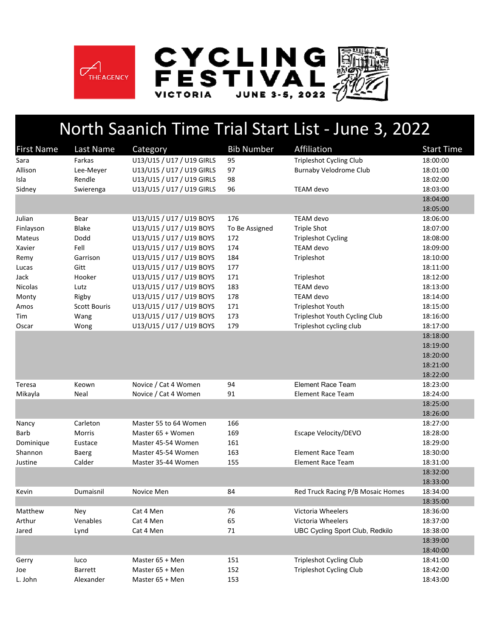





## North Saanich Time Trial Start List ‐ June 3, 2022

| <b>First Name</b> | Last Name           | Category                  | <b>Bib Number</b> | Affiliation                            | <b>Start Time</b> |
|-------------------|---------------------|---------------------------|-------------------|----------------------------------------|-------------------|
| Sara              | Farkas              | U13/U15 / U17 / U19 GIRLS | 95                | <b>Tripleshot Cycling Club</b>         | 18:00:00          |
| Allison           | Lee-Meyer           | U13/U15 / U17 / U19 GIRLS | 97                | <b>Burnaby Velodrome Club</b>          | 18:01:00          |
| Isla              | Rendle              | U13/U15 / U17 / U19 GIRLS | 98                |                                        | 18:02:00          |
| Sidney            | Swierenga           | U13/U15 / U17 / U19 GIRLS | 96                | TEAM devo                              | 18:03:00          |
|                   |                     |                           |                   |                                        | 18:04:00          |
|                   |                     |                           |                   |                                        | 18:05:00          |
| Julian            | Bear                | U13/U15 / U17 / U19 BOYS  | 176               | TEAM devo                              | 18:06:00          |
| Finlayson         | <b>Blake</b>        | U13/U15 / U17 / U19 BOYS  | To Be Assigned    | <b>Triple Shot</b>                     | 18:07:00          |
| Mateus            | Dodd                | U13/U15 / U17 / U19 BOYS  | 172               | <b>Tripleshot Cycling</b>              | 18:08:00          |
| Xavier            | Fell                | U13/U15 / U17 / U19 BOYS  | 174               | TEAM devo                              | 18:09:00          |
| Remy              | Garrison            | U13/U15 / U17 / U19 BOYS  | 184               | Tripleshot                             | 18:10:00          |
| Lucas             | Gitt                | U13/U15 / U17 / U19 BOYS  | 177               |                                        | 18:11:00          |
| Jack              | Hooker              | U13/U15 / U17 / U19 BOYS  | 171               | Tripleshot                             | 18:12:00          |
| <b>Nicolas</b>    | Lutz                | U13/U15 / U17 / U19 BOYS  | 183               | <b>TEAM</b> devo                       | 18:13:00          |
| Monty             | Rigby               | U13/U15 / U17 / U19 BOYS  | 178               | TEAM devo                              | 18:14:00          |
| Amos              | <b>Scott Bouris</b> | U13/U15 / U17 / U19 BOYS  | 171               | Tripleshot Youth                       | 18:15:00          |
| Tim               | Wang                | U13/U15 / U17 / U19 BOYS  | 173               | Tripleshot Youth Cycling Club          | 18:16:00          |
| Oscar             | Wong                | U13/U15 / U17 / U19 BOYS  | 179               | Tripleshot cycling club                | 18:17:00          |
|                   |                     |                           |                   |                                        | 18:18:00          |
|                   |                     |                           |                   |                                        | 18:19:00          |
|                   |                     |                           |                   |                                        | 18:20:00          |
|                   |                     |                           |                   |                                        | 18:21:00          |
|                   |                     |                           |                   |                                        | 18:22:00          |
| Teresa            | Keown               | Novice / Cat 4 Women      | 94                | <b>Element Race Team</b>               | 18:23:00          |
| Mikayla           | Neal                | Novice / Cat 4 Women      | 91                | <b>Element Race Team</b>               | 18:24:00          |
|                   |                     |                           |                   |                                        | 18:25:00          |
|                   |                     |                           |                   |                                        | 18:26:00          |
| Nancy             | Carleton            | Master 55 to 64 Women     | 166               |                                        | 18:27:00          |
| Barb              | Morris              | Master 65 + Women         | 169               | Escape Velocity/DEVO                   | 18:28:00          |
| Dominique         | Eustace             | Master 45-54 Women        | 161               |                                        | 18:29:00          |
| Shannon           | Baerg               | Master 45-54 Women        | 163               | Element Race Team                      | 18:30:00          |
| Justine           | Calder              | Master 35-44 Women        | 155               | <b>Element Race Team</b>               | 18:31:00          |
|                   |                     |                           |                   |                                        | 18:32:00          |
|                   |                     |                           |                   |                                        | 18:33:00          |
| Kevin             | Dumaisnil           | Novice Men                | 84                | Red Truck Racing P/B Mosaic Homes      | 18:34:00          |
|                   |                     |                           |                   |                                        | 18:35:00          |
| Matthew           | Ney                 | Cat 4 Men                 | 76                | Victoria Wheelers                      | 18:36:00          |
| Arthur            | Venables            | Cat 4 Men                 | 65                | Victoria Wheelers                      | 18:37:00          |
| Jared             | Lynd                | Cat 4 Men                 | 71                | <b>UBC Cycling Sport Club, Redkilo</b> | 18:38:00          |
|                   |                     |                           |                   |                                        | 18:39:00          |
|                   |                     |                           |                   |                                        | 18:40:00          |
| Gerry             | luco                | Master 65 + Men           | 151               | <b>Tripleshot Cycling Club</b>         | 18:41:00          |
| Joe               | Barrett             | Master 65 + Men           | 152               | <b>Tripleshot Cycling Club</b>         | 18:42:00          |
| L. John           | Alexander           | Master 65 + Men           | 153               |                                        | 18:43:00          |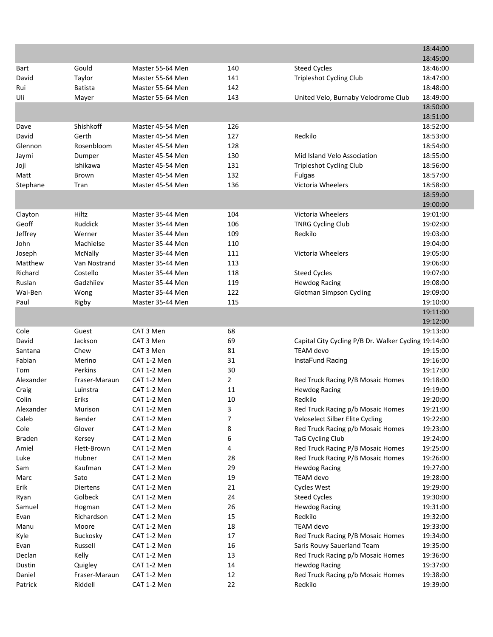|                |                |                            |                |                                                      | 18:44:00             |
|----------------|----------------|----------------------------|----------------|------------------------------------------------------|----------------------|
|                |                |                            |                |                                                      | 18:45:00             |
| Bart           | Gould          | Master 55-64 Men           | 140            | <b>Steed Cycles</b>                                  | 18:46:00             |
| David          | Taylor         | Master 55-64 Men           | 141            | <b>Tripleshot Cycling Club</b>                       | 18:47:00             |
| Rui            | <b>Batista</b> | Master 55-64 Men           | 142            |                                                      | 18:48:00             |
| Uli            | Mayer          | Master 55-64 Men           | 143            | United Velo, Burnaby Velodrome Club                  | 18:49:00             |
|                |                |                            |                |                                                      | 18:50:00             |
|                |                |                            |                |                                                      | 18:51:00             |
| Dave           | Shishkoff      | Master 45-54 Men           | 126            |                                                      | 18:52:00             |
| David          | Gerth          | Master 45-54 Men           | 127            | Redkilo                                              | 18:53:00             |
| Glennon        | Rosenbloom     | Master 45-54 Men           | 128            |                                                      | 18:54:00             |
| Jaymi          | Dumper         | Master 45-54 Men           | 130            | Mid Island Velo Association                          | 18:55:00             |
| Joji           | Ishikawa       | Master 45-54 Men           | 131            | <b>Tripleshot Cycling Club</b>                       | 18:56:00             |
| Matt           | Brown          | Master 45-54 Men           | 132            | Fulgas                                               | 18:57:00             |
| Stephane       | Tran           | Master 45-54 Men           | 136            | Victoria Wheelers                                    | 18:58:00             |
|                |                |                            |                |                                                      | 18:59:00             |
|                |                |                            |                |                                                      | 19:00:00             |
| Clayton        | Hiltz          | Master 35-44 Men           | 104            | Victoria Wheelers                                    | 19:01:00             |
| Geoff          | Ruddick        | Master 35-44 Men           | 106            | <b>TNRG Cycling Club</b>                             | 19:02:00             |
| Jeffrey        | Werner         | Master 35-44 Men           | 109            | Redkilo                                              | 19:03:00             |
| John           | Machielse      | Master 35-44 Men           | 110            |                                                      | 19:04:00             |
| Joseph         | McNally        | Master 35-44 Men           | 111            | Victoria Wheelers                                    | 19:05:00             |
| Matthew        | Van Nostrand   | Master 35-44 Men           | 113            |                                                      | 19:06:00             |
| Richard        | Costello       | Master 35-44 Men           | 118            | <b>Steed Cycles</b>                                  | 19:07:00             |
| Ruslan         | Gadzhiiev      | Master 35-44 Men           | 119            | <b>Hewdog Racing</b>                                 | 19:08:00             |
| Wai-Ben        | Wong           | Master 35-44 Men           | 122            | <b>Glotman Simpson Cycling</b>                       | 19:09:00             |
| Paul           | Rigby          | Master 35-44 Men           | 115            |                                                      | 19:10:00             |
|                |                |                            |                |                                                      | 19:11:00             |
|                |                |                            |                |                                                      | 19:12:00             |
| Cole           | Guest          | CAT 3 Men                  | 68             |                                                      | 19:13:00             |
| David          | Jackson        | CAT 3 Men                  | 69             | Capital City Cycling P/B Dr. Walker Cycling 19:14:00 |                      |
| Santana        | Chew           | CAT 3 Men                  | 81             | <b>TEAM</b> devo                                     | 19:15:00             |
| Fabian         | Merino         | CAT 1-2 Men                | 31             | InstaFund Racing                                     | 19:16:00             |
| Tom            | Perkins        | CAT 1-2 Men                | 30             |                                                      | 19:17:00             |
| Alexander      | Fraser-Maraun  | CAT 1-2 Men                | $\overline{2}$ | Red Truck Racing P/B Mosaic Homes                    | 19:18:00             |
| Craig          | Luinstra       | CAT 1-2 Men                | 11             | <b>Hewdog Racing</b>                                 | 19:19:00             |
| Colin          | Eriks          | CAT 1-2 Men                | 10             | Redkilo                                              | 19:20:00             |
| Alexander      | Murison        | CAT 1-2 Men                | 3              | Red Truck Racing p/b Mosaic Homes                    | 19:21:00             |
| Caleb          | Bender         | CAT 1-2 Men                | 7              | Veloselect Silber Elite Cycling                      | 19:22:00             |
| Cole           | Glover         | CAT 1-2 Men                | 8              | Red Truck Racing p/b Mosaic Homes                    | 19:23:00             |
| <b>Braden</b>  | Kersey         | CAT 1-2 Men                | 6              | <b>TaG Cycling Club</b>                              | 19:24:00             |
| Amiel          | Flett-Brown    | CAT 1-2 Men                | 4              | Red Truck Racing P/B Mosaic Homes                    | 19:25:00             |
| Luke           | Hubner         | CAT 1-2 Men                | 28             | Red Truck Racing P/B Mosaic Homes                    | 19:26:00             |
| Sam            | Kaufman        | CAT 1-2 Men                | 29             | <b>Hewdog Racing</b>                                 | 19:27:00             |
| Marc           | Sato           | CAT 1-2 Men                | 19             | <b>TEAM</b> devo                                     | 19:28:00             |
| Erik           | Diertens       | CAT 1-2 Men                | 21             | <b>Cycles West</b>                                   | 19:29:00             |
| Ryan           | Golbeck        | CAT 1-2 Men                | 24             | <b>Steed Cycles</b>                                  | 19:30:00             |
| Samuel         | Hogman         | CAT 1-2 Men                | 26             | <b>Hewdog Racing</b>                                 | 19:31:00             |
| Evan           | Richardson     | CAT 1-2 Men                | 15             | Redkilo                                              | 19:32:00             |
|                | Moore          |                            | 18             | <b>TEAM</b> devo                                     |                      |
| Manu<br>Kyle   | Buckosky       | CAT 1-2 Men<br>CAT 1-2 Men | 17             | Red Truck Racing P/B Mosaic Homes                    | 19:33:00<br>19:34:00 |
|                | Russell        |                            | 16             | Saris Rouvy Sauerland Team                           |                      |
| Evan<br>Declan | Kelly          | CAT 1-2 Men                | 13             | Red Truck Racing p/b Mosaic Homes                    | 19:35:00             |
| Dustin         | Quigley        | CAT 1-2 Men<br>CAT 1-2 Men | 14             | <b>Hewdog Racing</b>                                 | 19:36:00<br>19:37:00 |
| Daniel         | Fraser-Maraun  | CAT 1-2 Men                | 12             | Red Truck Racing p/b Mosaic Homes                    | 19:38:00             |
| Patrick        | Riddell        | CAT 1-2 Men                | 22             | Redkilo                                              | 19:39:00             |
|                |                |                            |                |                                                      |                      |